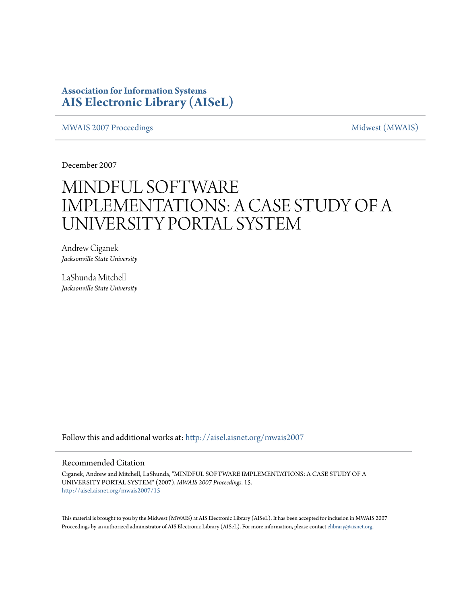### **Association for Information Systems [AIS Electronic Library \(AISeL\)](http://aisel.aisnet.org?utm_source=aisel.aisnet.org%2Fmwais2007%2F15&utm_medium=PDF&utm_campaign=PDFCoverPages)**

[MWAIS 2007 Proceedings](http://aisel.aisnet.org/mwais2007?utm_source=aisel.aisnet.org%2Fmwais2007%2F15&utm_medium=PDF&utm_campaign=PDFCoverPages) and the matrix of the [Midwest \(MWAIS\)](http://aisel.aisnet.org/mwais?utm_source=aisel.aisnet.org%2Fmwais2007%2F15&utm_medium=PDF&utm_campaign=PDFCoverPages)

December 2007

# MINDFUL SOFTWARE IMPLEMENTATIONS: A CASE STUDY OF A UNIVERSITY PORTAL SYSTEM

Andrew Ciganek *Jacksonville State University*

LaShunda Mitchell *Jacksonville State University*

Follow this and additional works at: [http://aisel.aisnet.org/mwais2007](http://aisel.aisnet.org/mwais2007?utm_source=aisel.aisnet.org%2Fmwais2007%2F15&utm_medium=PDF&utm_campaign=PDFCoverPages)

#### Recommended Citation

Ciganek, Andrew and Mitchell, LaShunda, "MINDFUL SOFTWARE IMPLEMENTATIONS: A CASE STUDY OF A UNIVERSITY PORTAL SYSTEM" (2007). *MWAIS 2007 Proceedings*. 15. [http://aisel.aisnet.org/mwais2007/15](http://aisel.aisnet.org/mwais2007/15?utm_source=aisel.aisnet.org%2Fmwais2007%2F15&utm_medium=PDF&utm_campaign=PDFCoverPages)

This material is brought to you by the Midwest (MWAIS) at AIS Electronic Library (AISeL). It has been accepted for inclusion in MWAIS 2007 Proceedings by an authorized administrator of AIS Electronic Library (AISeL). For more information, please contact [elibrary@aisnet.org](mailto:elibrary@aisnet.org%3E).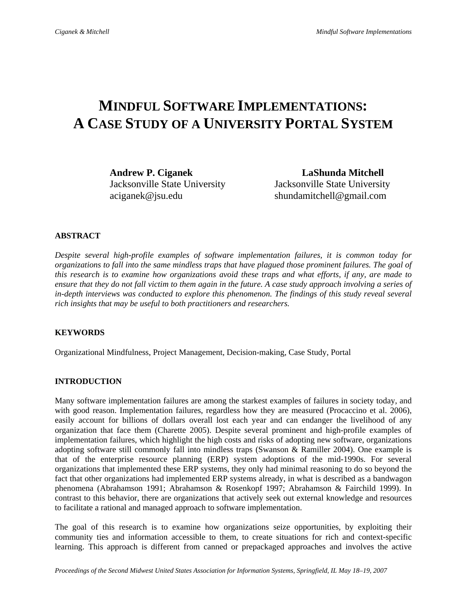## **MINDFUL SOFTWARE IMPLEMENTATIONS: A CASE STUDY OF A UNIVERSITY PORTAL SYSTEM**

**Andrew P. Ciganek LaShunda Mitchell**  Jacksonville State University Jacksonville State University aciganek@jsu.edu shundamitchell@gmail.com

#### **ABSTRACT**

*Despite several high-profile examples of software implementation failures, it is common today for organizations to fall into the same mindless traps that have plagued those prominent failures. The goal of this research is to examine how organizations avoid these traps and what efforts, if any, are made to ensure that they do not fall victim to them again in the future. A case study approach involving a series of*  in-depth interviews was conducted to explore this phenomenon. The findings of this study reveal several *rich insights that may be useful to both practitioners and researchers.* 

#### **KEYWORDS**

Organizational Mindfulness, Project Management, Decision-making, Case Study, Portal

#### **INTRODUCTION**

Many software implementation failures are among the starkest examples of failures in society today, and with good reason. Implementation failures, regardless how they are measured (Procaccino et al. 2006), easily account for billions of dollars overall lost each year and can endanger the livelihood of any organization that face them (Charette 2005). Despite several prominent and high-profile examples of implementation failures, which highlight the high costs and risks of adopting new software, organizations adopting software still commonly fall into mindless traps (Swanson & Ramiller 2004). One example is that of the enterprise resource planning (ERP) system adoptions of the mid-1990s. For several organizations that implemented these ERP systems, they only had minimal reasoning to do so beyond the fact that other organizations had implemented ERP systems already, in what is described as a bandwagon phenomena (Abrahamson 1991; Abrahamson & Rosenkopf 1997; Abrahamson & Fairchild 1999). In contrast to this behavior, there are organizations that actively seek out external knowledge and resources to facilitate a rational and managed approach to software implementation.

The goal of this research is to examine how organizations seize opportunities, by exploiting their community ties and information accessible to them, to create situations for rich and context-specific learning. This approach is different from canned or prepackaged approaches and involves the active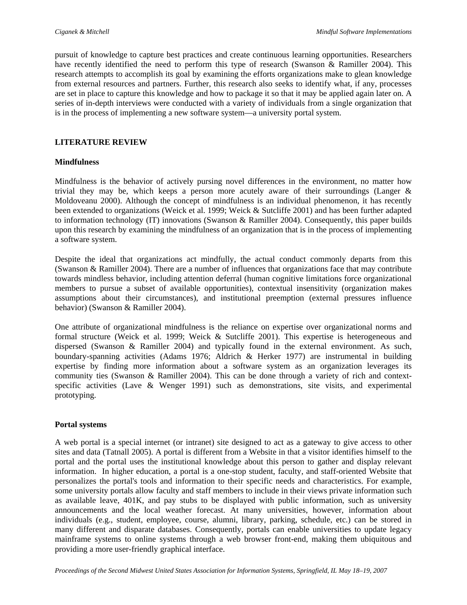pursuit of knowledge to capture best practices and create continuous learning opportunities. Researchers have recently identified the need to perform this type of research (Swanson & Ramiller 2004). This research attempts to accomplish its goal by examining the efforts organizations make to glean knowledge from external resources and partners. Further, this research also seeks to identify what, if any, processes are set in place to capture this knowledge and how to package it so that it may be applied again later on. A series of in-depth interviews were conducted with a variety of individuals from a single organization that is in the process of implementing a new software system—a university portal system.

#### **LITERATURE REVIEW**

#### **Mindfulness**

Mindfulness is the behavior of actively pursing novel differences in the environment, no matter how trivial they may be, which keeps a person more acutely aware of their surroundings (Langer  $\&$ Moldoveanu 2000). Although the concept of mindfulness is an individual phenomenon, it has recently been extended to organizations (Weick et al. 1999; Weick & Sutcliffe 2001) and has been further adapted to information technology (IT) innovations (Swanson & Ramiller 2004). Consequently, this paper builds upon this research by examining the mindfulness of an organization that is in the process of implementing a software system.

Despite the ideal that organizations act mindfully, the actual conduct commonly departs from this (Swanson & Ramiller 2004). There are a number of influences that organizations face that may contribute towards mindless behavior, including attention deferral (human cognitive limitations force organizational members to pursue a subset of available opportunities), contextual insensitivity (organization makes assumptions about their circumstances), and institutional preemption (external pressures influence behavior) (Swanson & Ramiller 2004).

One attribute of organizational mindfulness is the reliance on expertise over organizational norms and formal structure (Weick et al. 1999; Weick & Sutcliffe 2001). This expertise is heterogeneous and dispersed (Swanson & Ramiller 2004) and typically found in the external environment. As such, boundary-spanning activities (Adams 1976; Aldrich & Herker 1977) are instrumental in building expertise by finding more information about a software system as an organization leverages its community ties (Swanson & Ramiller 2004). This can be done through a variety of rich and contextspecific activities (Lave & Wenger 1991) such as demonstrations, site visits, and experimental prototyping.

#### **Portal systems**

A web portal is a special internet (or intranet) site designed to act as a gateway to give access to other sites and data (Tatnall 2005). A portal is different from a Website in that a visitor identifies himself to the portal and the portal uses the institutional knowledge about this person to gather and display relevant information. In higher education, a portal is a one-stop student, faculty, and staff-oriented Website that personalizes the portal's tools and information to their specific needs and characteristics. For example, some university portals allow faculty and staff members to include in their views private information such as available leave, 401K, and pay stubs to be displayed with public information, such as university announcements and the local weather forecast. At many universities, however, information about individuals (e.g., student, employee, course, alumni, library, parking, schedule, etc.) can be stored in many different and disparate databases. Consequently, portals can enable universities to update legacy mainframe systems to online systems through a web browser front-end, making them ubiquitous and providing a more user-friendly graphical interface.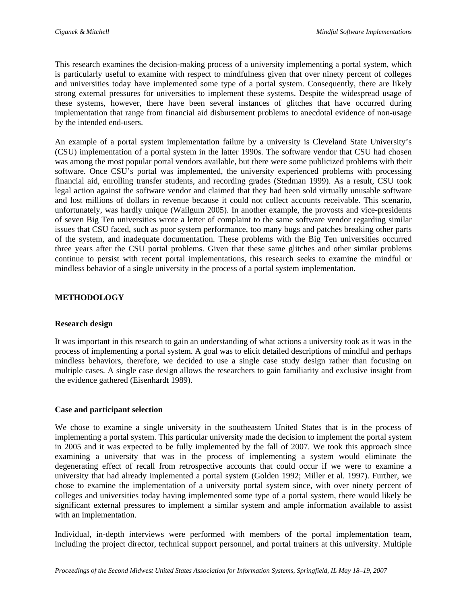This research examines the decision-making process of a university implementing a portal system, which is particularly useful to examine with respect to mindfulness given that over ninety percent of colleges and universities today have implemented some type of a portal system. Consequently, there are likely strong external pressures for universities to implement these systems. Despite the widespread usage of these systems, however, there have been several instances of glitches that have occurred during implementation that range from financial aid disbursement problems to anecdotal evidence of non-usage by the intended end-users.

An example of a portal system implementation failure by a university is Cleveland State University's (CSU) implementation of a portal system in the latter 1990s. The software vendor that CSU had chosen was among the most popular portal vendors available, but there were some publicized problems with their software. Once CSU's portal was implemented, the university experienced problems with processing financial aid, enrolling transfer students, and recording grades (Stedman 1999). As a result, CSU took legal action against the software vendor and claimed that they had been sold virtually unusable software and lost millions of dollars in revenue because it could not collect accounts receivable. This scenario, unfortunately, was hardly unique (Wailgum 2005). In another example, the provosts and vice-presidents of seven Big Ten universities wrote a letter of complaint to the same software vendor regarding similar issues that CSU faced, such as poor system performance, too many bugs and patches breaking other parts of the system, and inadequate documentation. These problems with the Big Ten universities occurred three years after the CSU portal problems. Given that these same glitches and other similar problems continue to persist with recent portal implementations, this research seeks to examine the mindful or mindless behavior of a single university in the process of a portal system implementation.

#### **METHODOLOGY**

#### **Research design**

It was important in this research to gain an understanding of what actions a university took as it was in the process of implementing a portal system. A goal was to elicit detailed descriptions of mindful and perhaps mindless behaviors, therefore, we decided to use a single case study design rather than focusing on multiple cases. A single case design allows the researchers to gain familiarity and exclusive insight from the evidence gathered (Eisenhardt 1989).

#### **Case and participant selection**

We chose to examine a single university in the southeastern United States that is in the process of implementing a portal system. This particular university made the decision to implement the portal system in 2005 and it was expected to be fully implemented by the fall of 2007. We took this approach since examining a university that was in the process of implementing a system would eliminate the degenerating effect of recall from retrospective accounts that could occur if we were to examine a university that had already implemented a portal system (Golden 1992; Miller et al. 1997). Further, we chose to examine the implementation of a university portal system since, with over ninety percent of colleges and universities today having implemented some type of a portal system, there would likely be significant external pressures to implement a similar system and ample information available to assist with an implementation.

Individual, in-depth interviews were performed with members of the portal implementation team, including the project director, technical support personnel, and portal trainers at this university. Multiple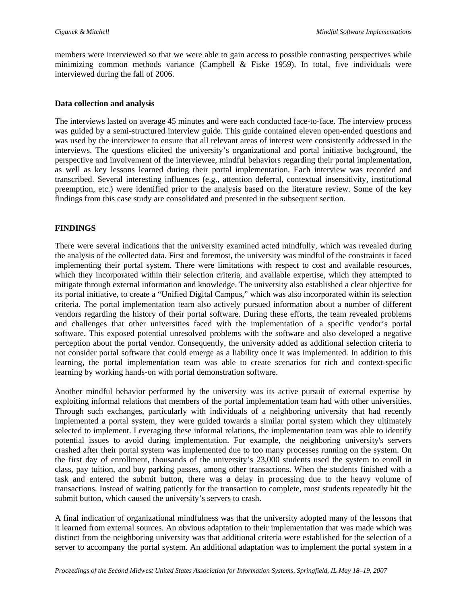members were interviewed so that we were able to gain access to possible contrasting perspectives while minimizing common methods variance (Campbell  $\&$  Fiske 1959). In total, five individuals were interviewed during the fall of 2006.

#### **Data collection and analysis**

The interviews lasted on average 45 minutes and were each conducted face-to-face. The interview process was guided by a semi-structured interview guide. This guide contained eleven open-ended questions and was used by the interviewer to ensure that all relevant areas of interest were consistently addressed in the interviews. The questions elicited the university's organizational and portal initiative background, the perspective and involvement of the interviewee, mindful behaviors regarding their portal implementation, as well as key lessons learned during their portal implementation. Each interview was recorded and transcribed. Several interesting influences (e.g., attention deferral, contextual insensitivity, institutional preemption, etc.) were identified prior to the analysis based on the literature review. Some of the key findings from this case study are consolidated and presented in the subsequent section.

#### **FINDINGS**

There were several indications that the university examined acted mindfully, which was revealed during the analysis of the collected data. First and foremost, the university was mindful of the constraints it faced implementing their portal system. There were limitations with respect to cost and available resources, which they incorporated within their selection criteria, and available expertise, which they attempted to mitigate through external information and knowledge. The university also established a clear objective for its portal initiative, to create a "Unified Digital Campus," which was also incorporated within its selection criteria. The portal implementation team also actively pursued information about a number of different vendors regarding the history of their portal software. During these efforts, the team revealed problems and challenges that other universities faced with the implementation of a specific vendor's portal software. This exposed potential unresolved problems with the software and also developed a negative perception about the portal vendor. Consequently, the university added as additional selection criteria to not consider portal software that could emerge as a liability once it was implemented. In addition to this learning, the portal implementation team was able to create scenarios for rich and context-specific learning by working hands-on with portal demonstration software.

Another mindful behavior performed by the university was its active pursuit of external expertise by exploiting informal relations that members of the portal implementation team had with other universities. Through such exchanges, particularly with individuals of a neighboring university that had recently implemented a portal system, they were guided towards a similar portal system which they ultimately selected to implement. Leveraging these informal relations, the implementation team was able to identify potential issues to avoid during implementation. For example, the neighboring university's servers crashed after their portal system was implemented due to too many processes running on the system. On the first day of enrollment, thousands of the university's 23,000 students used the system to enroll in class, pay tuition, and buy parking passes, among other transactions. When the students finished with a task and entered the submit button, there was a delay in processing due to the heavy volume of transactions. Instead of waiting patiently for the transaction to complete, most students repeatedly hit the submit button, which caused the university's servers to crash.

A final indication of organizational mindfulness was that the university adopted many of the lessons that it learned from external sources. An obvious adaptation to their implementation that was made which was distinct from the neighboring university was that additional criteria were established for the selection of a server to accompany the portal system. An additional adaptation was to implement the portal system in a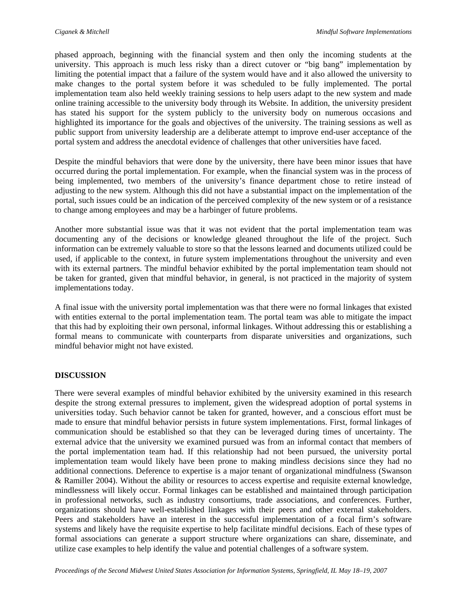phased approach, beginning with the financial system and then only the incoming students at the university. This approach is much less risky than a direct cutover or "big bang" implementation by limiting the potential impact that a failure of the system would have and it also allowed the university to make changes to the portal system before it was scheduled to be fully implemented. The portal implementation team also held weekly training sessions to help users adapt to the new system and made online training accessible to the university body through its Website. In addition, the university president has stated his support for the system publicly to the university body on numerous occasions and highlighted its importance for the goals and objectives of the university. The training sessions as well as public support from university leadership are a deliberate attempt to improve end-user acceptance of the portal system and address the anecdotal evidence of challenges that other universities have faced.

Despite the mindful behaviors that were done by the university, there have been minor issues that have occurred during the portal implementation. For example, when the financial system was in the process of being implemented, two members of the university's finance department chose to retire instead of adjusting to the new system. Although this did not have a substantial impact on the implementation of the portal, such issues could be an indication of the perceived complexity of the new system or of a resistance to change among employees and may be a harbinger of future problems.

Another more substantial issue was that it was not evident that the portal implementation team was documenting any of the decisions or knowledge gleaned throughout the life of the project. Such information can be extremely valuable to store so that the lessons learned and documents utilized could be used, if applicable to the context, in future system implementations throughout the university and even with its external partners. The mindful behavior exhibited by the portal implementation team should not be taken for granted, given that mindful behavior, in general, is not practiced in the majority of system implementations today.

A final issue with the university portal implementation was that there were no formal linkages that existed with entities external to the portal implementation team. The portal team was able to mitigate the impact that this had by exploiting their own personal, informal linkages. Without addressing this or establishing a formal means to communicate with counterparts from disparate universities and organizations, such mindful behavior might not have existed.

#### **DISCUSSION**

There were several examples of mindful behavior exhibited by the university examined in this research despite the strong external pressures to implement, given the widespread adoption of portal systems in universities today. Such behavior cannot be taken for granted, however, and a conscious effort must be made to ensure that mindful behavior persists in future system implementations. First, formal linkages of communication should be established so that they can be leveraged during times of uncertainty. The external advice that the university we examined pursued was from an informal contact that members of the portal implementation team had. If this relationship had not been pursued, the university portal implementation team would likely have been prone to making mindless decisions since they had no additional connections. Deference to expertise is a major tenant of organizational mindfulness (Swanson & Ramiller 2004). Without the ability or resources to access expertise and requisite external knowledge, mindlessness will likely occur. Formal linkages can be established and maintained through participation in professional networks, such as industry consortiums, trade associations, and conferences. Further, organizations should have well-established linkages with their peers and other external stakeholders. Peers and stakeholders have an interest in the successful implementation of a focal firm's software systems and likely have the requisite expertise to help facilitate mindful decisions. Each of these types of formal associations can generate a support structure where organizations can share, disseminate, and utilize case examples to help identify the value and potential challenges of a software system.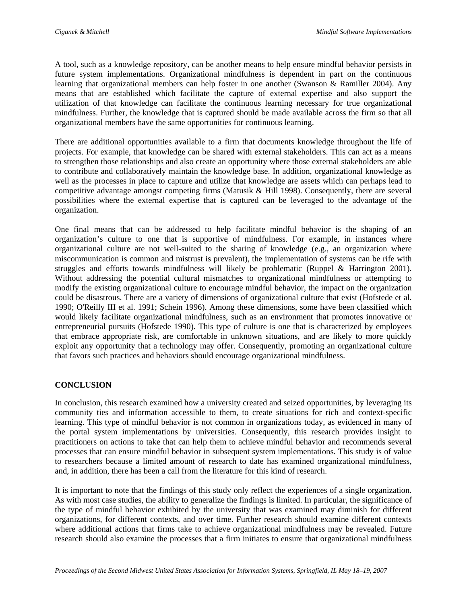A tool, such as a knowledge repository, can be another means to help ensure mindful behavior persists in future system implementations. Organizational mindfulness is dependent in part on the continuous learning that organizational members can help foster in one another (Swanson & Ramiller 2004). Any means that are established which facilitate the capture of external expertise and also support the utilization of that knowledge can facilitate the continuous learning necessary for true organizational mindfulness. Further, the knowledge that is captured should be made available across the firm so that all organizational members have the same opportunities for continuous learning.

There are additional opportunities available to a firm that documents knowledge throughout the life of projects. For example, that knowledge can be shared with external stakeholders. This can act as a means to strengthen those relationships and also create an opportunity where those external stakeholders are able to contribute and collaboratively maintain the knowledge base. In addition, organizational knowledge as well as the processes in place to capture and utilize that knowledge are assets which can perhaps lead to competitive advantage amongst competing firms (Matusik & Hill 1998). Consequently, there are several possibilities where the external expertise that is captured can be leveraged to the advantage of the organization.

One final means that can be addressed to help facilitate mindful behavior is the shaping of an organization's culture to one that is supportive of mindfulness. For example, in instances where organizational culture are not well-suited to the sharing of knowledge (e.g., an organization where miscommunication is common and mistrust is prevalent), the implementation of systems can be rife with struggles and efforts towards mindfulness will likely be problematic (Ruppel & Harrington 2001). Without addressing the potential cultural mismatches to organizational mindfulness or attempting to modify the existing organizational culture to encourage mindful behavior, the impact on the organization could be disastrous. There are a variety of dimensions of organizational culture that exist (Hofstede et al. 1990; O'Reilly III et al. 1991; Schein 1996). Among these dimensions, some have been classified which would likely facilitate organizational mindfulness, such as an environment that promotes innovative or entrepreneurial pursuits (Hofstede 1990). This type of culture is one that is characterized by employees that embrace appropriate risk, are comfortable in unknown situations, and are likely to more quickly exploit any opportunity that a technology may offer. Consequently, promoting an organizational culture that favors such practices and behaviors should encourage organizational mindfulness.

#### **CONCLUSION**

In conclusion, this research examined how a university created and seized opportunities, by leveraging its community ties and information accessible to them, to create situations for rich and context-specific learning. This type of mindful behavior is not common in organizations today, as evidenced in many of the portal system implementations by universities. Consequently, this research provides insight to practitioners on actions to take that can help them to achieve mindful behavior and recommends several processes that can ensure mindful behavior in subsequent system implementations. This study is of value to researchers because a limited amount of research to date has examined organizational mindfulness, and, in addition, there has been a call from the literature for this kind of research.

It is important to note that the findings of this study only reflect the experiences of a single organization. As with most case studies, the ability to generalize the findings is limited. In particular, the significance of the type of mindful behavior exhibited by the university that was examined may diminish for different organizations, for different contexts, and over time. Further research should examine different contexts where additional actions that firms take to achieve organizational mindfulness may be revealed. Future research should also examine the processes that a firm initiates to ensure that organizational mindfulness